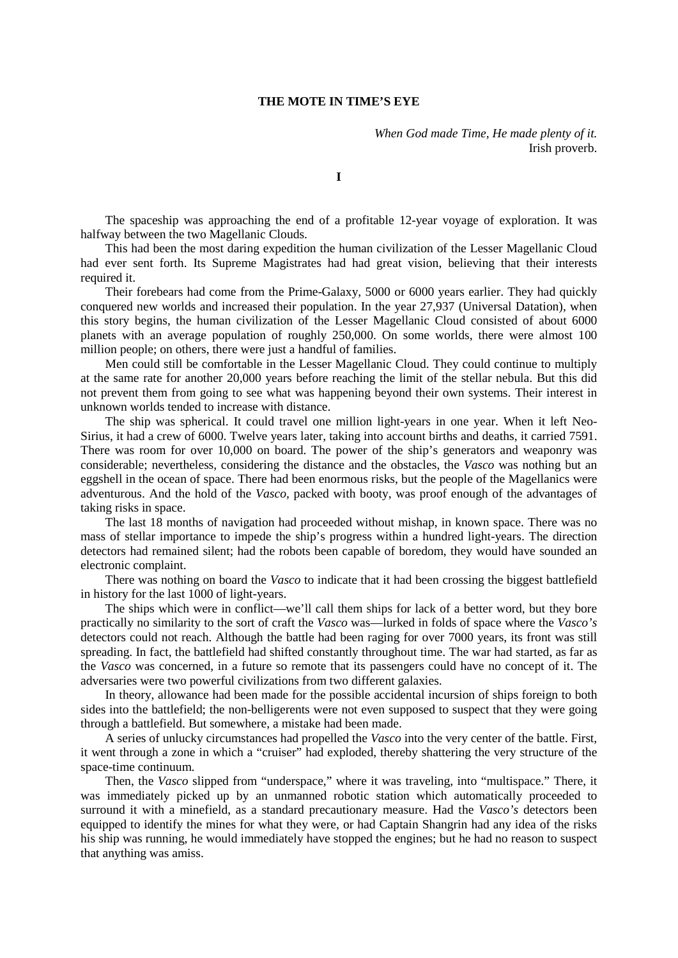## **THE MOTE IN TIME'S EYE**

*When God made Time, He made plenty of it.* Irish proverb.

**I**

The spaceship was approaching the end of a profitable 12-year voyage of exploration. It was halfway between the two Magellanic Clouds.

This had been the most daring expedition the human civilization of the Lesser Magellanic Cloud had ever sent forth. Its Supreme Magistrates had had great vision, believing that their interests required it.

Their forebears had come from the Prime-Galaxy, 5000 or 6000 years earlier. They had quickly conquered new worlds and increased their population. In the year 27,937 (Universal Datation), when this story begins, the human civilization of the Lesser Magellanic Cloud consisted of about 6000 planets with an average population of roughly 250,000. On some worlds, there were almost 100 million people; on others, there were just a handful of families.

Men could still be comfortable in the Lesser Magellanic Cloud. They could continue to multiply at the same rate for another 20,000 years before reaching the limit of the stellar nebula. But this did not prevent them from going to see what was happening beyond their own systems. Their interest in unknown worlds tended to increase with distance.

The ship was spherical. It could travel one million light-years in one year. When it left Neo-Sirius, it had a crew of 6000. Twelve years later, taking into account births and deaths, it carried 7591. There was room for over 10,000 on board. The power of the ship's generators and weaponry was considerable; nevertheless, considering the distance and the obstacles, the *Vasco* was nothing but an eggshell in the ocean of space. There had been enormous risks, but the people of the Magellanics were adventurous. And the hold of the *Vasco,* packed with booty, was proof enough of the advantages of taking risks in space.

The last 18 months of navigation had proceeded without mishap, in known space. There was no mass of stellar importance to impede the ship's progress within a hundred light-years. The direction detectors had remained silent; had the robots been capable of boredom, they would have sounded an electronic complaint.

There was nothing on board the *Vasco* to indicate that it had been crossing the biggest battlefield in history for the last 1000 of light-years.

The ships which were in conflict—we'll call them ships for lack of a better word, but they bore practically no similarity to the sort of craft the *Vasco* was—lurked in folds of space where the *Vasco's*  detectors could not reach. Although the battle had been raging for over 7000 years, its front was still spreading. In fact, the battlefield had shifted constantly throughout time. The war had started, as far as the *Vasco* was concerned, in a future so remote that its passengers could have no concept of it. The adversaries were two powerful civilizations from two different galaxies.

In theory, allowance had been made for the possible accidental incursion of ships foreign to both sides into the battlefield; the non-belligerents were not even supposed to suspect that they were going through a battlefield. But somewhere, a mistake had been made.

A series of unlucky circumstances had propelled the *Vasco* into the very center of the battle. First, it went through a zone in which a "cruiser" had exploded, thereby shattering the very structure of the space-time continuum.

Then, the *Vasco* slipped from "underspace," where it was traveling, into "multispace." There, it was immediately picked up by an unmanned robotic station which automatically proceeded to surround it with a minefield, as a standard precautionary measure. Had the *Vasco's* detectors been equipped to identify the mines for what they were, or had Captain Shangrin had any idea of the risks his ship was running, he would immediately have stopped the engines; but he had no reason to suspect that anything was amiss.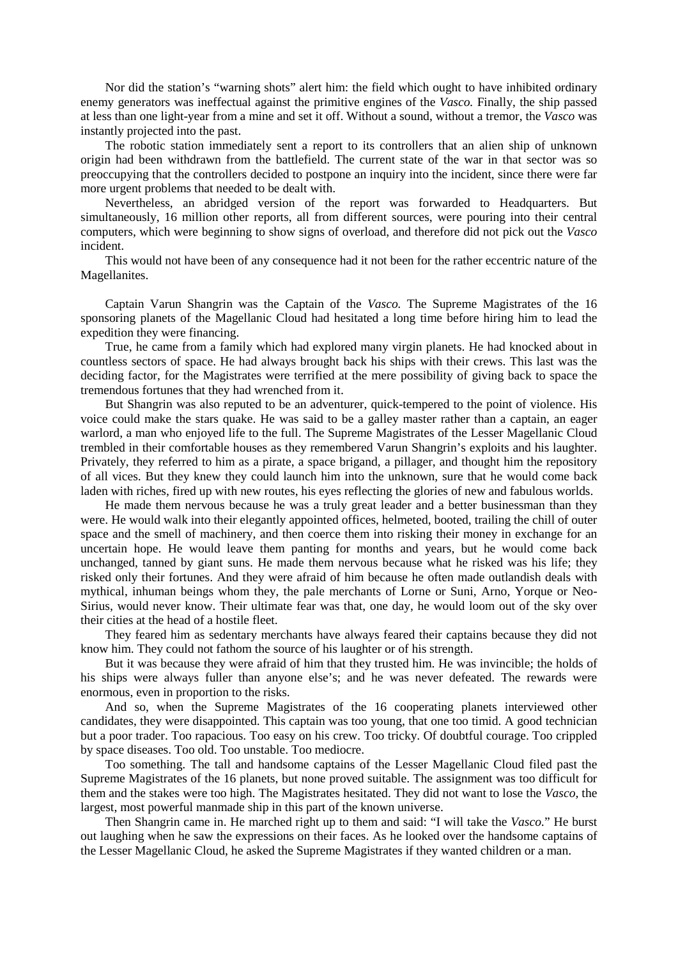Nor did the station's "warning shots" alert him: the field which ought to have inhibited ordinary enemy generators was ineffectual against the primitive engines of the *Vasco.* Finally, the ship passed at less than one light-year from a mine and set it off. Without a sound, without a tremor, the *Vasco* was instantly projected into the past.

The robotic station immediately sent a report to its controllers that an alien ship of unknown origin had been withdrawn from the battlefield. The current state of the war in that sector was so preoccupying that the controllers decided to postpone an inquiry into the incident, since there were far more urgent problems that needed to be dealt with.

Nevertheless, an abridged version of the report was forwarded to Headquarters. But simultaneously, 16 million other reports, all from different sources, were pouring into their central computers, which were beginning to show signs of overload, and therefore did not pick out the *Vasco*  incident.

This would not have been of any consequence had it not been for the rather eccentric nature of the Magellanites.

Captain Varun Shangrin was the Captain of the *Vasco.* The Supreme Magistrates of the 16 sponsoring planets of the Magellanic Cloud had hesitated a long time before hiring him to lead the expedition they were financing.

True, he came from a family which had explored many virgin planets. He had knocked about in countless sectors of space. He had always brought back his ships with their crews. This last was the deciding factor, for the Magistrates were terrified at the mere possibility of giving back to space the tremendous fortunes that they had wrenched from it.

But Shangrin was also reputed to be an adventurer, quick-tempered to the point of violence. His voice could make the stars quake. He was said to be a galley master rather than a captain, an eager warlord, a man who enjoyed life to the full. The Supreme Magistrates of the Lesser Magellanic Cloud trembled in their comfortable houses as they remembered Varun Shangrin's exploits and his laughter. Privately, they referred to him as a pirate, a space brigand, a pillager, and thought him the repository of all vices. But they knew they could launch him into the unknown, sure that he would come back laden with riches, fired up with new routes, his eyes reflecting the glories of new and fabulous worlds.

He made them nervous because he was a truly great leader and a better businessman than they were. He would walk into their elegantly appointed offices, helmeted, booted, trailing the chill of outer space and the smell of machinery, and then coerce them into risking their money in exchange for an uncertain hope. He would leave them panting for months and years, but he would come back unchanged, tanned by giant suns. He made them nervous because what he risked was his life; they risked only their fortunes. And they were afraid of him because he often made outlandish deals with mythical, inhuman beings whom they, the pale merchants of Lorne or Suni, Arno, Yorque or Neo-Sirius, would never know. Their ultimate fear was that, one day, he would loom out of the sky over their cities at the head of a hostile fleet.

They feared him as sedentary merchants have always feared their captains because they did not know him. They could not fathom the source of his laughter or of his strength.

But it was because they were afraid of him that they trusted him. He was invincible; the holds of his ships were always fuller than anyone else's; and he was never defeated. The rewards were enormous, even in proportion to the risks.

And so, when the Supreme Magistrates of the 16 cooperating planets interviewed other candidates, they were disappointed. This captain was too young, that one too timid. A good technician but a poor trader. Too rapacious. Too easy on his crew. Too tricky. Of doubtful courage. Too crippled by space diseases. Too old. Too unstable. Too mediocre.

Too something. The tall and handsome captains of the Lesser Magellanic Cloud filed past the Supreme Magistrates of the 16 planets, but none proved suitable. The assignment was too difficult for them and the stakes were too high. The Magistrates hesitated. They did not want to lose the *Vasco,* the largest, most powerful manmade ship in this part of the known universe.

Then Shangrin came in. He marched right up to them and said: "I will take the *Vasco.*" He burst out laughing when he saw the expressions on their faces. As he looked over the handsome captains of the Lesser Magellanic Cloud, he asked the Supreme Magistrates if they wanted children or a man.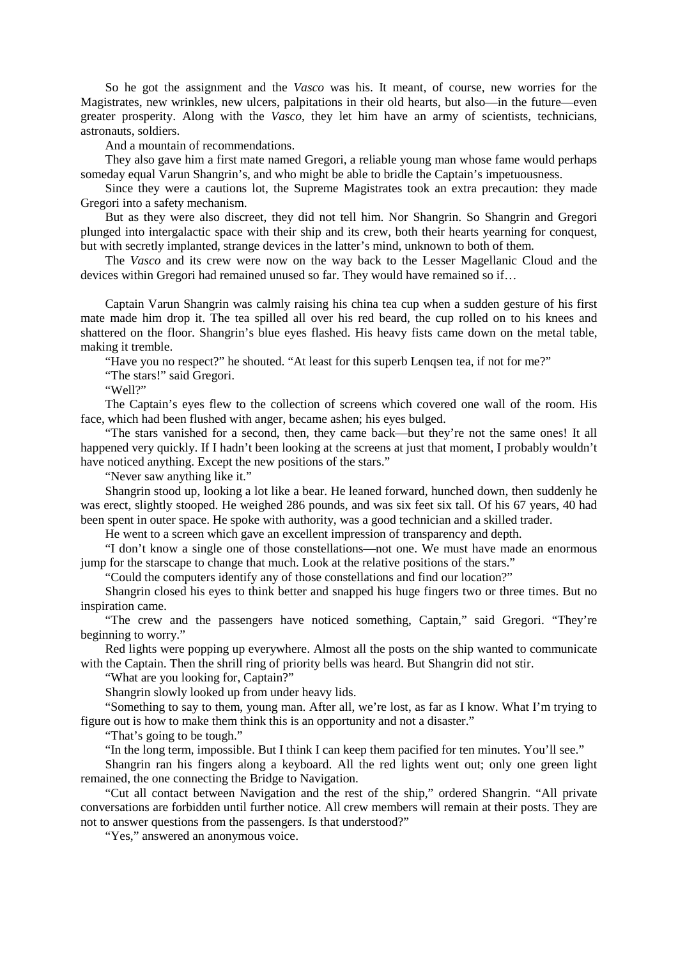So he got the assignment and the *Vasco* was his. It meant, of course, new worries for the Magistrates, new wrinkles, new ulcers, palpitations in their old hearts, but also—in the future—even greater prosperity. Along with the *Vasco*, they let him have an army of scientists, technicians, astronauts, soldiers.

And a mountain of recommendations.

They also gave him a first mate named Gregori, a reliable young man whose fame would perhaps someday equal Varun Shangrin's, and who might be able to bridle the Captain's impetuousness.

Since they were a cautions lot, the Supreme Magistrates took an extra precaution: they made Gregori into a safety mechanism.

But as they were also discreet, they did not tell him. Nor Shangrin. So Shangrin and Gregori plunged into intergalactic space with their ship and its crew, both their hearts yearning for conquest, but with secretly implanted, strange devices in the latter's mind, unknown to both of them.

The *Vasco* and its crew were now on the way back to the Lesser Magellanic Cloud and the devices within Gregori had remained unused so far. They would have remained so if…

Captain Varun Shangrin was calmly raising his china tea cup when a sudden gesture of his first mate made him drop it. The tea spilled all over his red beard, the cup rolled on to his knees and shattered on the floor. Shangrin's blue eyes flashed. His heavy fists came down on the metal table, making it tremble.

"Have you no respect?" he shouted. "At least for this superb Lenqsen tea, if not for me?"

"The stars!" said Gregori.

"Well?"

The Captain's eyes flew to the collection of screens which covered one wall of the room. His face, which had been flushed with anger, became ashen; his eyes bulged.

"The stars vanished for a second, then, they came back—but they're not the same ones! It all happened very quickly. If I hadn't been looking at the screens at just that moment, I probably wouldn't have noticed anything. Except the new positions of the stars."

"Never saw anything like it."

Shangrin stood up, looking a lot like a bear. He leaned forward, hunched down, then suddenly he was erect, slightly stooped. He weighed 286 pounds, and was six feet six tall. Of his 67 years, 40 had been spent in outer space. He spoke with authority, was a good technician and a skilled trader.

He went to a screen which gave an excellent impression of transparency and depth.

"I don't know a single one of those constellations—not one. We must have made an enormous jump for the starscape to change that much. Look at the relative positions of the stars."

"Could the computers identify any of those constellations and find our location?"

Shangrin closed his eyes to think better and snapped his huge fingers two or three times. But no inspiration came.

"The crew and the passengers have noticed something, Captain," said Gregori. "They're beginning to worry."

Red lights were popping up everywhere. Almost all the posts on the ship wanted to communicate with the Captain. Then the shrill ring of priority bells was heard. But Shangrin did not stir.

"What are you looking for, Captain?"

Shangrin slowly looked up from under heavy lids.

"Something to say to them, young man. After all, we're lost, as far as I know. What I'm trying to figure out is how to make them think this is an opportunity and not a disaster."

"That's going to be tough."

"In the long term, impossible. But I think I can keep them pacified for ten minutes. You'll see."

Shangrin ran his fingers along a keyboard. All the red lights went out; only one green light remained, the one connecting the Bridge to Navigation.

"Cut all contact between Navigation and the rest of the ship," ordered Shangrin. "All private conversations are forbidden until further notice. All crew members will remain at their posts. They are not to answer questions from the passengers. Is that understood?"

"Yes," answered an anonymous voice.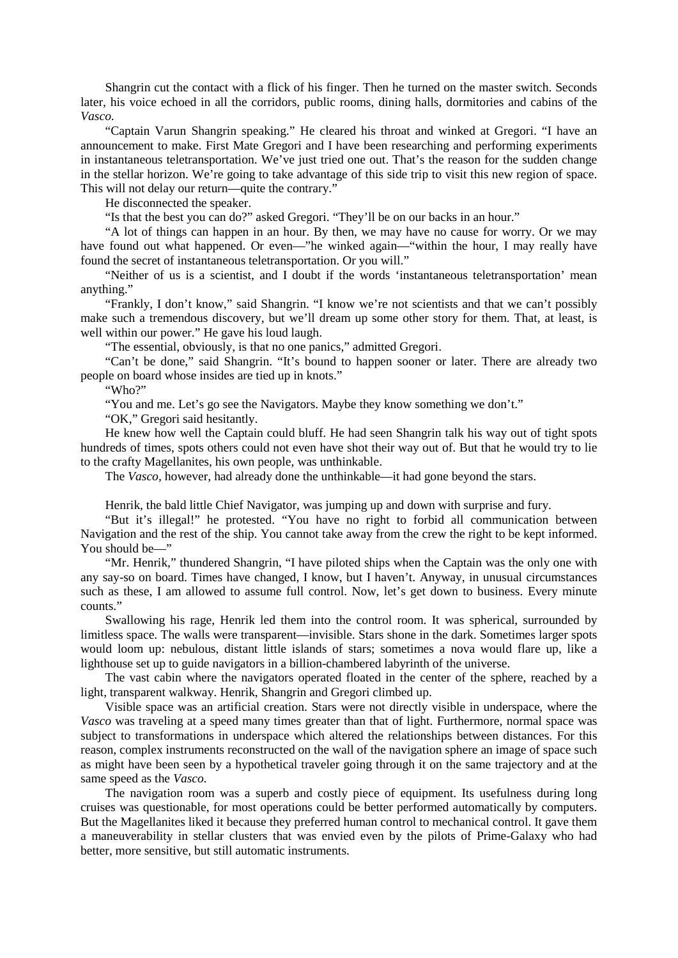Shangrin cut the contact with a flick of his finger. Then he turned on the master switch. Seconds later, his voice echoed in all the corridors, public rooms, dining halls, dormitories and cabins of the *Vasco.*

"Captain Varun Shangrin speaking." He cleared his throat and winked at Gregori. "I have an announcement to make. First Mate Gregori and I have been researching and performing experiments in instantaneous teletransportation. We've just tried one out. That's the reason for the sudden change in the stellar horizon. We're going to take advantage of this side trip to visit this new region of space. This will not delay our return—quite the contrary."

He disconnected the speaker.

"Is that the best you can do?" asked Gregori. "They'll be on our backs in an hour."

"A lot of things can happen in an hour. By then, we may have no cause for worry. Or we may have found out what happened. Or even—"he winked again—"within the hour, I may really have found the secret of instantaneous teletransportation. Or you will."

"Neither of us is a scientist, and I doubt if the words 'instantaneous teletransportation' mean anything."

"Frankly, I don't know," said Shangrin. "I know we're not scientists and that we can't possibly make such a tremendous discovery, but we'll dream up some other story for them. That, at least, is well within our power." He gave his loud laugh.

"The essential, obviously, is that no one panics," admitted Gregori.

"Can't be done," said Shangrin. "It's bound to happen sooner or later. There are already two people on board whose insides are tied up in knots."

"Who?"

"You and me. Let's go see the Navigators. Maybe they know something we don't."

"OK," Gregori said hesitantly.

He knew how well the Captain could bluff. He had seen Shangrin talk his way out of tight spots hundreds of times, spots others could not even have shot their way out of. But that he would try to lie to the crafty Magellanites, his own people, was unthinkable.

The *Vasco,* however, had already done the unthinkable—it had gone beyond the stars.

Henrik, the bald little Chief Navigator, was jumping up and down with surprise and fury.

"But it's illegal!" he protested. "You have no right to forbid all communication between Navigation and the rest of the ship. You cannot take away from the crew the right to be kept informed. You should be—"

"Mr. Henrik," thundered Shangrin, "I have piloted ships when the Captain was the only one with any say-so on board. Times have changed, I know, but I haven't. Anyway, in unusual circumstances such as these, I am allowed to assume full control. Now, let's get down to business. Every minute counts."

Swallowing his rage, Henrik led them into the control room. It was spherical, surrounded by limitless space. The walls were transparent—invisible. Stars shone in the dark. Sometimes larger spots would loom up: nebulous, distant little islands of stars; sometimes a nova would flare up, like a lighthouse set up to guide navigators in a billion-chambered labyrinth of the universe.

The vast cabin where the navigators operated floated in the center of the sphere, reached by a light, transparent walkway. Henrik, Shangrin and Gregori climbed up.

Visible space was an artificial creation. Stars were not directly visible in underspace, where the *Vasco* was traveling at a speed many times greater than that of light. Furthermore, normal space was subject to transformations in underspace which altered the relationships between distances. For this reason, complex instruments reconstructed on the wall of the navigation sphere an image of space such as might have been seen by a hypothetical traveler going through it on the same trajectory and at the same speed as the *Vasco.*

The navigation room was a superb and costly piece of equipment. Its usefulness during long cruises was questionable, for most operations could be better performed automatically by computers. But the Magellanites liked it because they preferred human control to mechanical control. It gave them a maneuverability in stellar clusters that was envied even by the pilots of Prime-Galaxy who had better, more sensitive, but still automatic instruments.